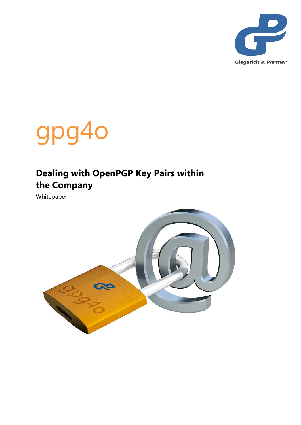



## **Dealing with OpenPGP Key Pairs within the Company**

Whitepaper

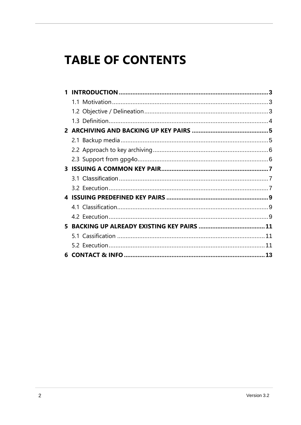# **TABLE OF CONTENTS**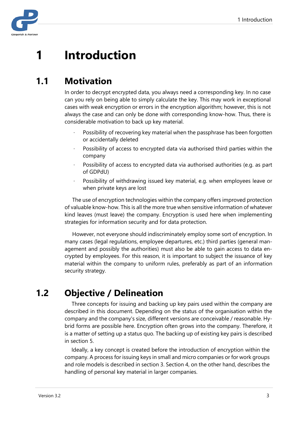

# <span id="page-2-0"></span>**1 Introduction**

#### <span id="page-2-1"></span>**1.1 Motivation**

In order to decrypt encrypted data, you always need a corresponding key. In no case can you rely on being able to simply calculate the key. This may work in exceptional cases with weak encryption or errors in the encryption algorithm; however, this is not always the case and can only be done with corresponding know-how. Thus, there is considerable motivation to back up key material.

- Possibility of recovering key material when the passphrase has been forgotten or accidentally deleted
- Possibility of access to encrypted data via authorised third parties within the company
- Possibility of access to encrypted data via authorised authorities (e.g. as part of GDPdU)
- Possibility of withdrawing issued key material, e.g. when employees leave or when private keys are lost

The use of encryption technologies within the company offers improved protection of valuable know-how. This is all the more true when sensitive information of whatever kind leaves (must leave) the company. Encryption is used here when implementing strategies for information security and for data protection.

However, not everyone should indiscriminately employ some sort of encryption. In many cases (legal regulations, employee departures, etc.) third parties (general management and possibly the authorities) must also be able to gain access to data encrypted by employees. For this reason, it is important to subject the issuance of key material within the company to uniform rules, preferably as part of an information security strategy.

## <span id="page-2-2"></span>**1.2 Objective / Delineation**

Three concepts for issuing and backing up key pairs used within the company are described in this document. Depending on the status of the organisation within the company and the company's size, different versions are conceivable / reasonable. Hybrid forms are possible here. Encryption often grows into the company. Therefore, it is a matter of setting up a status quo. The backing up of existing key pairs is described in section 5.

Ideally, a key concept is created before the introduction of encryption within the company. A process for issuing keys in small and micro companies or for work groups and role models is described in section 3. Section 4, on the other hand, describes the handling of personal key material in larger companies.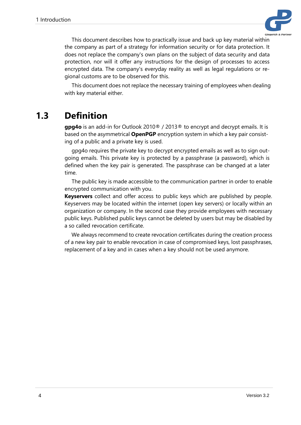

This document describes how to practically issue and back up key material within the company as part of a strategy for information security or for data protection. It does not replace the company's own plans on the subject of data security and data protection, nor will it offer any instructions for the design of processes to access encrypted data. The company's everyday reality as well as legal regulations or regional customs are to be observed for this.

This document does not replace the necessary training of employees when dealing with key material either.

#### <span id="page-3-0"></span>**1.3 Definition**

**gpg4o** is an add-in for Outlook 2010® / 2013® to encrypt and decrypt emails. It is based on the asymmetrical **OpenPGP** encryption system in which a key pair consisting of a public and a private key is used.

gpg4o requires the private key to decrypt encrypted emails as well as to sign outgoing emails. This private key is protected by a passphrase (a password), which is defined when the key pair is generated. The passphrase can be changed at a later time.

The public key is made accessible to the communication partner in order to enable encrypted communication with you.

**Keyservers** collect and offer access to public keys which are published by people. Keyservers may be located within the internet (open key servers) or locally within an organization or company. In the second case they provide employees with necessary public keys. Published public keys cannot be deleted by users but may be disabled by a so called revocation certificate.

We always recommend to create revocation certificates during the creation process of a new key pair to enable revocation in case of compromised keys, lost passphrases, replacement of a key and in cases when a key should not be used anymore.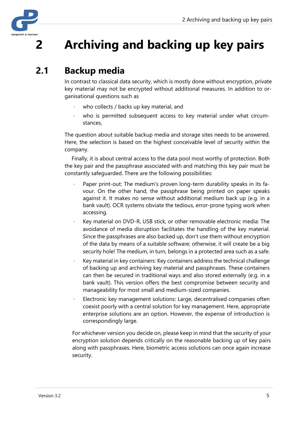

# <span id="page-4-0"></span>**2 Archiving and backing up key pairs**

#### <span id="page-4-1"></span>**2.1 Backup media**

In contrast to classical data security, which is mostly done without encryption, private key material may not be encrypted without additional measures. In addition to organisational questions such as

- who collects / backs up key material, and
- who is permitted subsequent access to key material under what circumstances,

The question about suitable backup media and storage sites needs to be answered. Here, the selection is based on the highest conceivable level of security within the company.

Finally, it is about central access to the data pool most worthy of protection. Both the key pair and the passphrase associated with and matching this key pair must be constantly safeguarded. There are the following possibilities:

- Paper print-out: The medium's proven long-term durability speaks in its favour. On the other hand, the passphrase being printed on paper speaks against it. It makes no sense without additional medium back up (e.g. in a bank vault). OCR systems obviate the tedious, error-prone typing work when accessing.
- Key material on DVD-R, USB stick, or other removable electronic media: The avoidance of media disruption facilitates the handling of the key material. Since the passphrases are also backed up, don't use them without encryption of the data by means of a suitable software; otherwise, it will create be a big security hole! The medium, in turn, belongs in a protected area such as a safe.
- Key material in key containers: Key containers address the technical challenge of backing up and archiving key material and passphrases. These containers can then be secured in traditional ways and also stored externally (e.g. in a bank vault). This version offers the best compromise between security and manageability for most small and medium-sized companies.
- Electronic key management solutions: Large, decentralised companies often coexist poorly with a central solution for key management. Here, appropriate enterprise solutions are an option. However, the expense of introduction is correspondingly large.

For whichever version you decide on, please keep in mind that the security of your encryption solution depends critically on the reasonable backing up of key pairs along with passphrases. Here, biometric access solutions can once again increase security.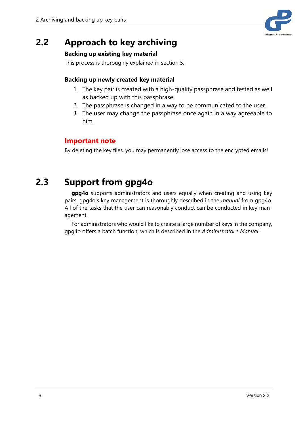

#### <span id="page-5-0"></span>**2.2 Approach to key archiving**

#### **Backing up existing key material**

This process is thoroughly explained in section 5.

#### **Backing up newly created key material**

- 1. The key pair is created with a high-quality passphrase and tested as well as backed up with this passphrase.
- 2. The passphrase is changed in a way to be communicated to the user.
- 3. The user may change the passphrase once again in a way agreeable to him.

#### **Important note**

By deleting the key files, you may permanently lose access to the encrypted emails!

#### <span id="page-5-1"></span>**2.3 Support from gpg4o**

**gpg4o** supports administrators and users equally when creating and using key pairs. gpg4o's key management is thoroughly described in the *manual* from gpg4o. All of the tasks that the user can reasonably conduct can be conducted in key management.

For administrators who would like to create a large number of keys in the company, gpg4o offers a batch function, which is described in the *Administrator's Manual*.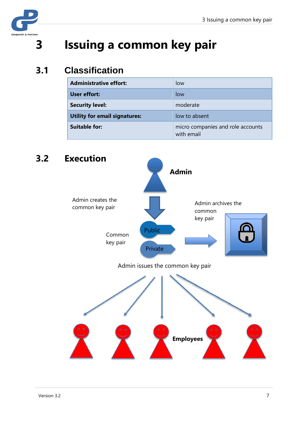

# <span id="page-6-0"></span>**3 Issuing a common key pair**

#### <span id="page-6-1"></span>**3.1 Classification**

| <b>Administrative effort:</b>        | low                                             |
|--------------------------------------|-------------------------------------------------|
| User effort:                         | low                                             |
| <b>Security level:</b>               | moderate                                        |
| <b>Utility for email signatures:</b> | low to absent                                   |
| <b>Suitable for:</b>                 | micro companies and role accounts<br>with email |

# <span id="page-6-2"></span>**3.2 Execution** Admin archives the common key pair Admin issues the common key pair Admin creates the common key pair Common key pair **Admin Employees** Public Private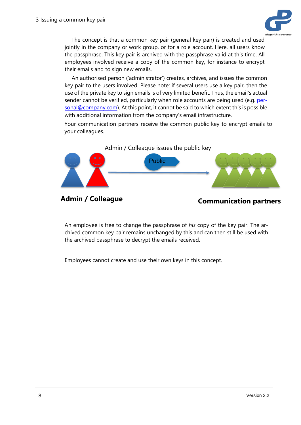

The concept is that a common key pair (general key pair) is created and used jointly in the company or work group, or for a role account. Here, all users know the passphrase. This key pair is archived with the passphrase valid at this time. All employees involved receive a copy of the common key, for instance to encrypt their emails and to sign new emails.

An authorised person ('administrator') creates, archives, and issues the common key pair to the users involved. Please note: if several users use a key pair, then the use of the private key to sign emails is of very limited benefit. Thus, the email's actual sender cannot be verified, particularly when role accounts are being used (e.g. personal@company.com). At this point, it cannot be said to which extent this is possible with additional information from the company's email infrastructure.

Your communication partners receive the common public key to encrypt emails to your colleagues.



#### Admin / Colleague *Communication partners*

An employee is free to change the passphrase of *his* copy of the key pair. The archived common key pair remains unchanged by this and can then still be used with the archived passphrase to decrypt the emails received.

Employees cannot create and use their own keys in this concept.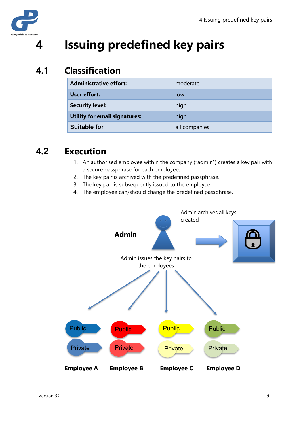

# <span id="page-8-0"></span>**4 Issuing predefined key pairs**

#### <span id="page-8-1"></span>**4.1 Classification**

| <b>Administrative effort:</b>        | moderate      |
|--------------------------------------|---------------|
| User effort:                         | low           |
| <b>Security level:</b>               | high          |
| <b>Utility for email signatures:</b> | high          |
| <b>Suitable for</b>                  | all companies |

#### <span id="page-8-2"></span>**4.2 Execution**

- 1. An authorised employee within the company ("admin") creates a key pair with a secure passphrase for each employee.
- 2. The key pair is archived with the predefined passphrase.
- 3. The key pair is subsequently issued to the employee.
- 4. The employee can/should change the predefined passphrase.

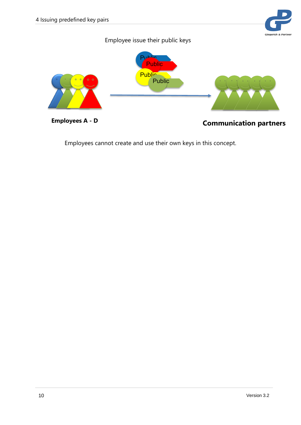# **Giegerich & Part**



Employees cannot create and use their own keys in this concept.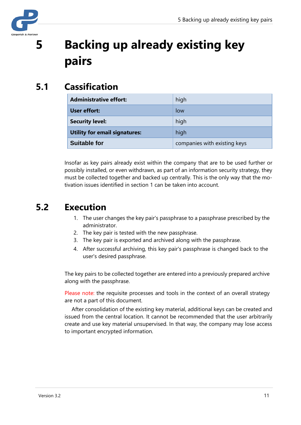

# <span id="page-10-0"></span>**5 Backing up already existing key pairs**

## <span id="page-10-1"></span>**5.1 Cassification**

| <b>Administrative effort:</b>        | high                         |
|--------------------------------------|------------------------------|
| <b>User effort:</b>                  | low                          |
| <b>Security level:</b>               | high                         |
| <b>Utility for email signatures:</b> | high                         |
| <b>Suitable for</b>                  | companies with existing keys |

Insofar as key pairs already exist within the company that are to be used further or possibly installed, or even withdrawn, as part of an information security strategy, they must be collected together and backed up centrally. This is the only way that the motivation issues identified in section 1 can be taken into account.

#### <span id="page-10-2"></span>**5.2 Execution**

- 1. The user changes the key pair's passphrase to a passphrase prescribed by the administrator.
- 2. The key pair is tested with the new passphrase.
- 3. The key pair is exported and archived along with the passphrase.
- 4. After successful archiving, this key pair's passphrase is changed back to the user's desired passphrase.

The key pairs to be collected together are entered into a previously prepared archive along with the passphrase.

Please note: the requisite processes and tools in the context of an overall strategy are not a part of this document.

After consolidation of the existing key material, additional keys can be created and issued from the central location. It cannot be recommended that the user arbitrarily create and use key material unsupervised. In that way, the company may lose access to important encrypted information.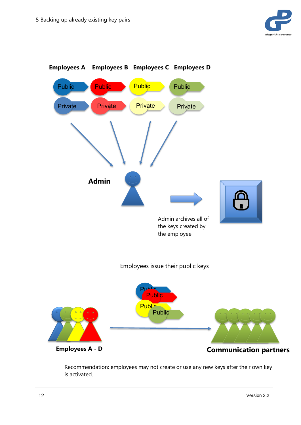



Recommendation: employees may not create or use any new keys after their own key is activated.